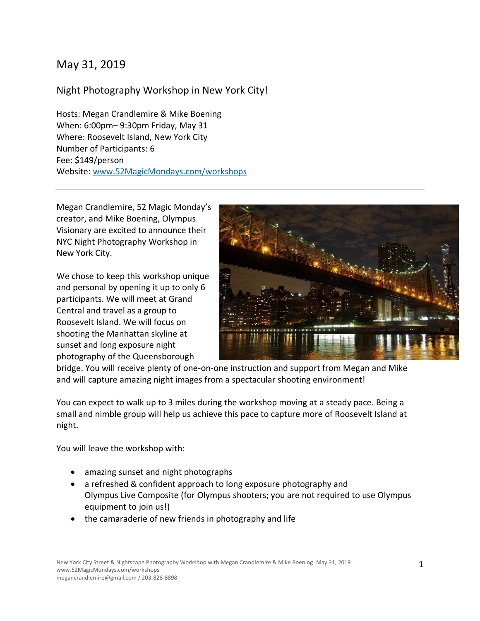## May 31, 2019

#### Night Photography Workshop in New York City!

Hosts: Megan Crandlemire & Mike Boening When: 6:00pm– 9:30pm Friday, May 31 Where: Roosevelt Island, New York City Number of Participants: 6 Fee: \$149/person Website: [www.52MagicMondays.com/workshops](http://www.52magicmondays.com/workshops)

Megan Crandlemire, 52 Magic Monday's creator, and Mike Boening, Olympus Visionary are excited to announce their NYC Night Photography Workshop in New York City.

We chose to keep this workshop unique and personal by opening it up to only 6 participants. We will meet at Grand Central and travel as a group to Roosevelt Island. We will focus on shooting the Manhattan skyline at sunset and long exposure night photography of the Queensborough



bridge. You will receive plenty of one-on-one instruction and support from Megan and Mike and will capture amazing night images from a spectacular shooting environment!

You can expect to walk up to 3 miles during the workshop moving at a steady pace. Being a small and nimble group will help us achieve this pace to capture more of Roosevelt Island at night.

You will leave the workshop with:

- amazing sunset and night photographs
- a refreshed & confident approach to long exposure photography and Olympus Live Composite (for Olympus shooters; you are not required to use Olympus equipment to join us!)
- the camaraderie of new friends in photography and life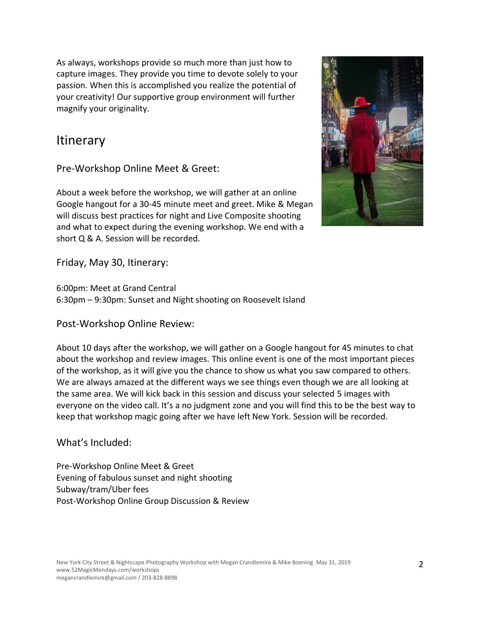As always, workshops provide so much more than just how to capture images. They provide you time to devote solely to your passion. When this is accomplished you realize the potential of your creativity! Our supportive group environment will further magnify your originality.

# **Itinerary**

Pre-Workshop Online Meet & Greet:

About a week before the workshop, we will gather at an online Google hangout for a 30-45 minute meet and greet. Mike & Megan will discuss best practices for night and Live Composite shooting and what to expect during the evening workshop. We end with a short Q & A. Session will be recorded.



Friday, May 30, Itinerary:

6:00pm: Meet at Grand Central 6:30pm – 9:30pm: Sunset and Night shooting on Roosevelt Island

Post-Workshop Online Review:

About 10 days after the workshop, we will gather on a Google hangout for 45 minutes to chat about the workshop and review images. This online event is one of the most important pieces of the workshop, as it will give you the chance to show us what you saw compared to others. We are always amazed at the different ways we see things even though we are all looking at the same area. We will kick back in this session and discuss your selected 5 images with everyone on the video call. It's a no judgment zone and you will find this to be the best way to keep that workshop magic going after we have left New York. Session will be recorded.

What's Included:

Pre-Workshop Online Meet & Greet Evening of fabulous sunset and night shooting Subway/tram/Uber fees Post-Workshop Online Group Discussion & Review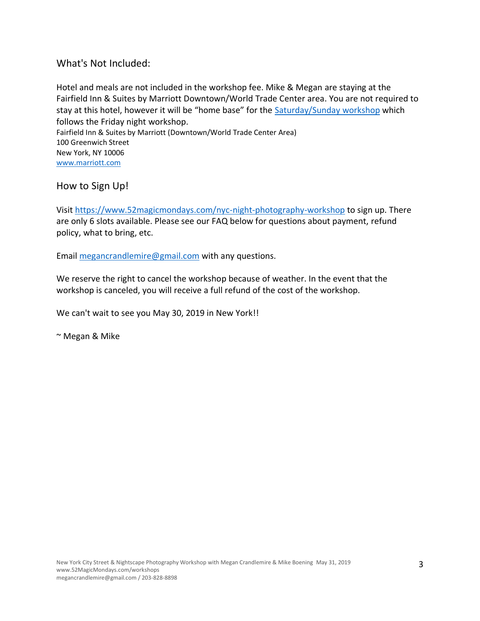What's Not Included:

Hotel and meals are not included in the workshop fee. Mike & Megan are staying at the Fairfield Inn & Suites by Marriott Downtown/World Trade Center area. You are not required to stay at this hotel, however it will be "home base" for the **[Saturday/Sunday workshop](https://www.52magicmondays.com/new-york-city-spring-2019-workshop)** which follows the Friday night workshop. Fairfield Inn & Suites by Marriott (Downtown/World Trade Center Area) 100 Greenwich Street New York, NY 10006 [www.marriott.com](http://www.marriott.com/)

How to Sign Up!

Visit <https://www.52magicmondays.com/nyc-night-photography-workshop> to sign up. There are only 6 slots available. Please see our FAQ below for questions about payment, refund policy, what to bring, etc.

Email [megancrandlemire@gmail.com](mailto:megancrandlemire@gmail.com) with any questions.

We reserve the right to cancel the workshop because of weather. In the event that the workshop is canceled, you will receive a full refund of the cost of the workshop.

We can't wait to see you May 30, 2019 in New York!!

~ Megan & Mike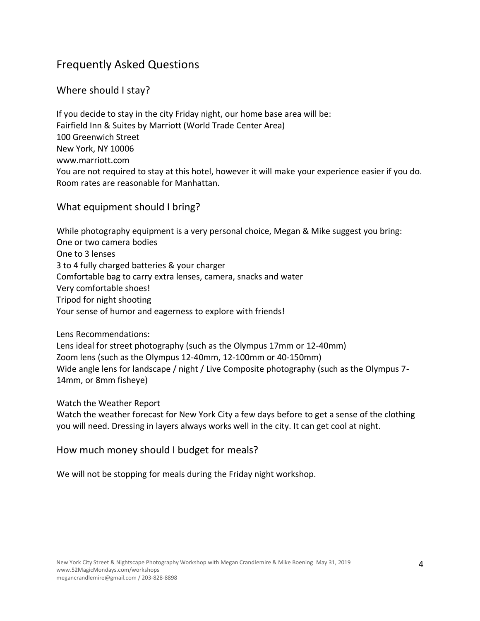# Frequently Asked Questions

### Where should I stay?

If you decide to stay in the city Friday night, our home base area will be: Fairfield Inn & Suites by Marriott (World Trade Center Area) 100 Greenwich Street New York, NY 10006 www.marriott.com You are not required to stay at this hotel, however it will make your experience easier if you do. Room rates are reasonable for Manhattan.

#### What equipment should I bring?

While photography equipment is a very personal choice, Megan & Mike suggest you bring: One or two camera bodies One to 3 lenses 3 to 4 fully charged batteries & your charger Comfortable bag to carry extra lenses, camera, snacks and water Very comfortable shoes! Tripod for night shooting Your sense of humor and eagerness to explore with friends!

#### Lens Recommendations:

Lens ideal for street photography (such as the Olympus 17mm or 12-40mm) Zoom lens (such as the Olympus 12-40mm, 12-100mm or 40-150mm) Wide angle lens for landscape / night / Live Composite photography (such as the Olympus 7-14mm, or 8mm fisheye)

Watch the Weather Report

Watch the weather forecast for New York City a few days before to get a sense of the clothing you will need. Dressing in layers always works well in the city. It can get cool at night.

How much money should I budget for meals?

We will not be stopping for meals during the Friday night workshop.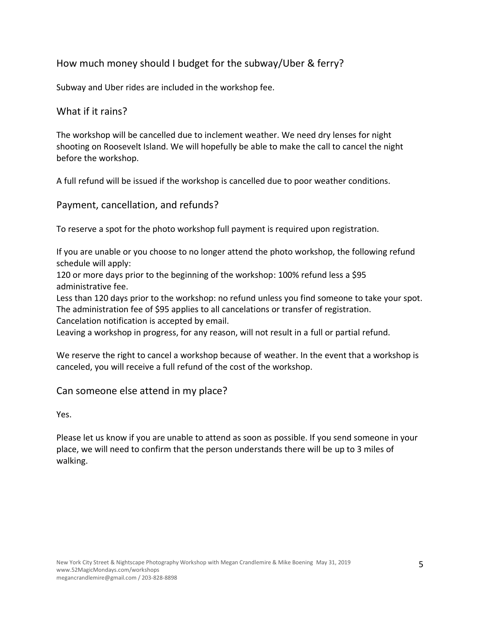### How much money should I budget for the subway/Uber & ferry?

Subway and Uber rides are included in the workshop fee.

#### What if it rains?

The workshop will be cancelled due to inclement weather. We need dry lenses for night shooting on Roosevelt Island. We will hopefully be able to make the call to cancel the night before the workshop.

A full refund will be issued if the workshop is cancelled due to poor weather conditions.

#### Payment, cancellation, and refunds?

To reserve a spot for the photo workshop full payment is required upon registration.

If you are unable or you choose to no longer attend the photo workshop, the following refund schedule will apply:

120 or more days prior to the beginning of the workshop: 100% refund less a \$95 administrative fee.

Less than 120 days prior to the workshop: no refund unless you find someone to take your spot. The administration fee of \$95 applies to all cancelations or transfer of registration.

Cancelation notification is accepted by email.

Leaving a workshop in progress, for any reason, will not result in a full or partial refund.

We reserve the right to cancel a workshop because of weather. In the event that a workshop is canceled, you will receive a full refund of the cost of the workshop.

#### Can someone else attend in my place?

Yes.

Please let us know if you are unable to attend as soon as possible. If you send someone in your place, we will need to confirm that the person understands there will be up to 3 miles of walking.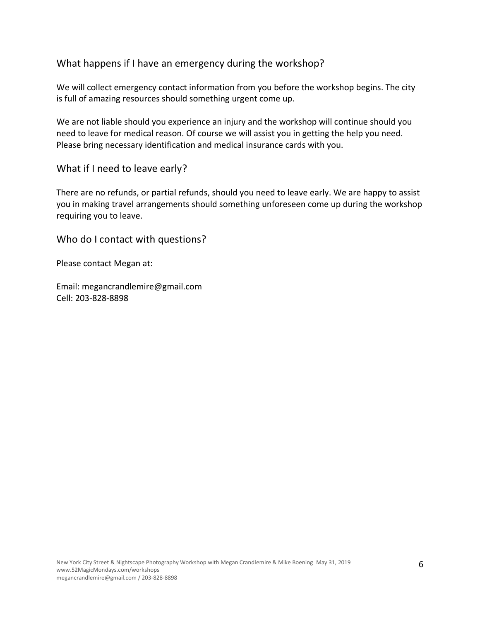#### What happens if I have an emergency during the workshop?

We will collect emergency contact information from you before the workshop begins. The city is full of amazing resources should something urgent come up.

We are not liable should you experience an injury and the workshop will continue should you need to leave for medical reason. Of course we will assist you in getting the help you need. Please bring necessary identification and medical insurance cards with you.

What if I need to leave early?

There are no refunds, or partial refunds, should you need to leave early. We are happy to assist you in making travel arrangements should something unforeseen come up during the workshop requiring you to leave.

Who do I contact with questions?

Please contact Megan at:

Email: megancrandlemire@gmail.com Cell: 203-828-8898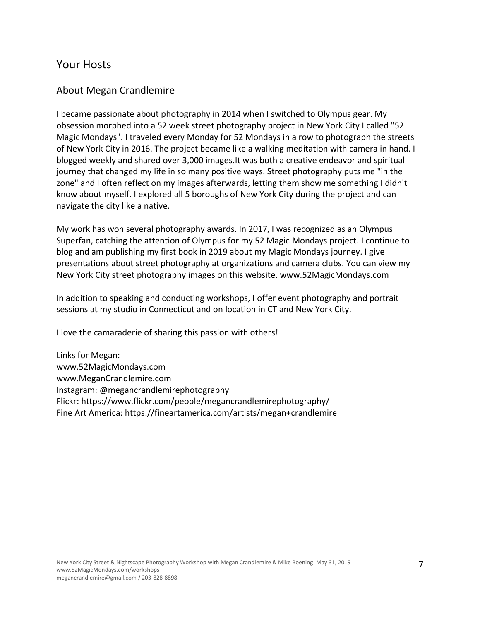### Your Hosts

#### About Megan Crandlemire

I became passionate about photography in 2014 when I switched to Olympus gear. My obsession morphed into a 52 week street photography project in New York City I called "52 Magic Mondays". I traveled every Monday for 52 Mondays in a row to photograph the streets of New York City in 2016. The project became like a walking meditation with camera in hand. I blogged weekly and shared over 3,000 images.It was both a creative endeavor and spiritual journey that changed my life in so many positive ways. Street photography puts me "in the zone" and I often reflect on my images afterwards, letting them show me something I didn't know about myself. I explored all 5 boroughs of New York City during the project and can navigate the city like a native.

My work has won several photography awards. In 2017, I was recognized as an Olympus Superfan, catching the attention of Olympus for my 52 Magic Mondays project. I continue to blog and am publishing my first book in 2019 about my Magic Mondays journey. I give presentations about street photography at organizations and camera clubs. You can view my New York City street photography images on this website. www.52MagicMondays.com

In addition to speaking and conducting workshops, I offer event photography and portrait sessions at my studio in Connecticut and on location in CT and New York City.

I love the camaraderie of sharing this passion with others!

Links for Megan: www.52MagicMondays.com www.MeganCrandlemire.com Instagram: @megancrandlemirephotography Flickr: https://www.flickr.com/people/megancrandlemirephotography/ Fine Art America: https://fineartamerica.com/artists/megan+crandlemire